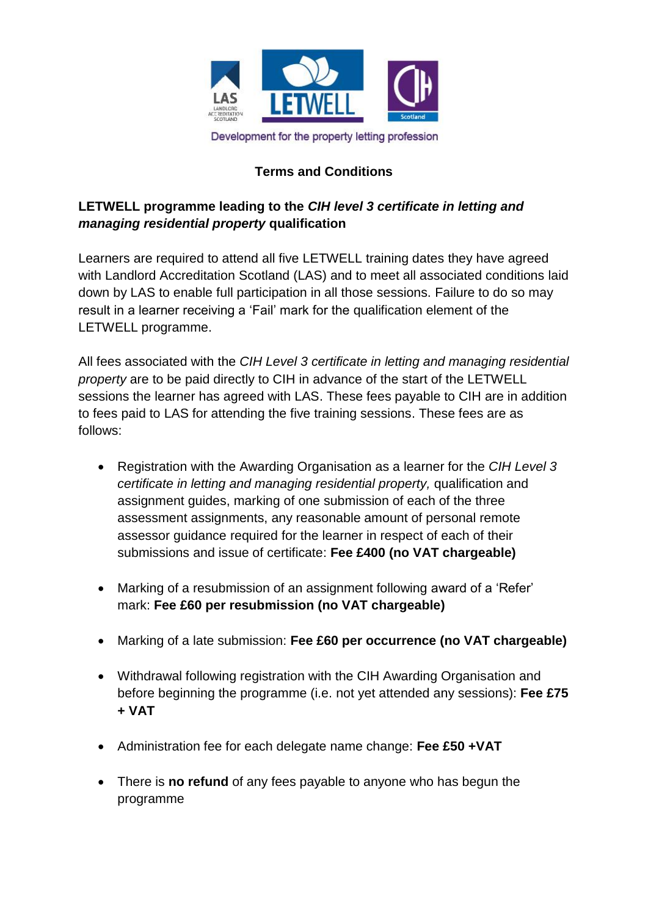

# **Terms and Conditions**

## **LETWELL programme leading to the** *CIH level 3 certificate in letting and managing residential property* **qualification**

Learners are required to attend all five LETWELL training dates they have agreed with Landlord Accreditation Scotland (LAS) and to meet all associated conditions laid down by LAS to enable full participation in all those sessions. Failure to do so may result in a learner receiving a 'Fail' mark for the qualification element of the LETWELL programme.

All fees associated with the *CIH Level 3 certificate in letting and managing residential property* are to be paid directly to CIH in advance of the start of the LETWELL sessions the learner has agreed with LAS. These fees payable to CIH are in addition to fees paid to LAS for attending the five training sessions. These fees are as follows:

- Registration with the Awarding Organisation as a learner for the *CIH Level 3 certificate in letting and managing residential property,* qualification and assignment guides, marking of one submission of each of the three assessment assignments, any reasonable amount of personal remote assessor guidance required for the learner in respect of each of their submissions and issue of certificate: **Fee £400 (no VAT chargeable)**
- Marking of a resubmission of an assignment following award of a 'Refer' mark: **Fee £60 per resubmission (no VAT chargeable)**
- Marking of a late submission: **Fee £60 per occurrence (no VAT chargeable)**
- Withdrawal following registration with the CIH Awarding Organisation and before beginning the programme (i.e. not yet attended any sessions): **Fee £75 + VAT**
- Administration fee for each delegate name change: **Fee £50 +VAT**
- There is **no refund** of any fees payable to anyone who has begun the programme